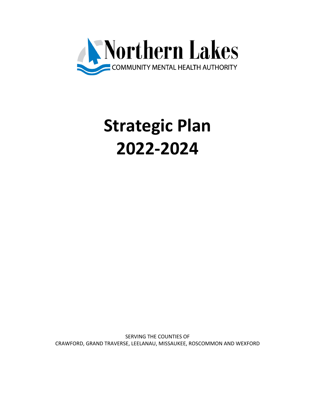

# **Strategic Plan 2022-2024**

SERVING THE COUNTIES OF CRAWFORD, GRAND TRAVERSE, LEELANAU, MISSAUKEE, ROSCOMMON AND WEXFORD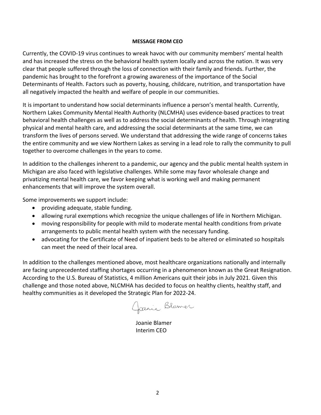#### **MESSAGE FROM CEO**

Currently, the COVID-19 virus continues to wreak havoc with our community members' mental health and has increased the stress on the behavioral health system locally and across the nation. It was very clear that people suffered through the loss of connection with their family and friends. Further, the pandemic has brought to the forefront a growing awareness of the importance of the Social Determinants of Health. Factors such as poverty, housing, childcare, nutrition, and transportation have all negatively impacted the health and welfare of people in our communities.

It is important to understand how social determinants influence a person's mental health. Currently, Northern Lakes Community Mental Health Authority (NLCMHA) uses evidence-based practices to treat behavioral health challenges as well as to address the social determinants of health. Through integrating physical and mental health care, and addressing the social determinants at the same time, we can transform the lives of persons served. We understand that addressing the wide range of concerns takes the entire community and we view Northern Lakes as serving in a lead role to rally the community to pull together to overcome challenges in the years to come.

In addition to the challenges inherent to a pandemic, our agency and the public mental health system in Michigan are also faced with legislative challenges. While some may favor wholesale change and privatizing mental health care, we favor keeping what is working well and making permanent enhancements that will improve the system overall.

Some improvements we support include:

- providing adequate, stable funding.
- allowing rural exemptions which recognize the unique challenges of life in Northern Michigan.
- moving responsibility for people with mild to moderate mental health conditions from private arrangements to public mental health system with the necessary funding.
- advocating for the Certificate of Need of inpatient beds to be altered or eliminated so hospitals can meet the need of their local area.

In addition to the challenges mentioned above, most healthcare organizations nationally and internally are facing unprecedented staffing shortages occurring in a phenomenon known as the Great Resignation. According to the U.S. Bureau of Statistics, 4 million Americans quit their jobs in July 2021. Given this challenge and those noted above, NLCMHA has decided to focus on healthy clients, healthy staff, and healthy communities as it developed the Strategic Plan for 2022-24.

Garrie Blamer

Joanie Blamer Interim CEO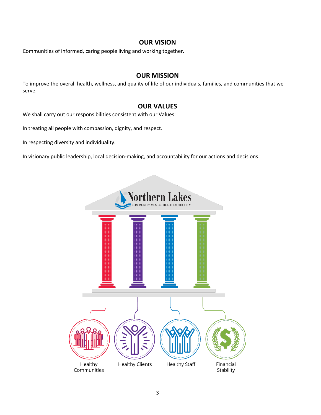# **OUR VISION**

Communities of informed, caring people living and working together.

### **OUR MISSION**

To improve the overall health, wellness, and quality of life of our individuals, families, and communities that we serve.

# **OUR VALUES**

We shall carry out our responsibilities consistent with our Values:

In treating all people with compassion, dignity, and respect.

In respecting diversity and individuality.

In visionary public leadership, local decision-making, and accountability for our actions and decisions.

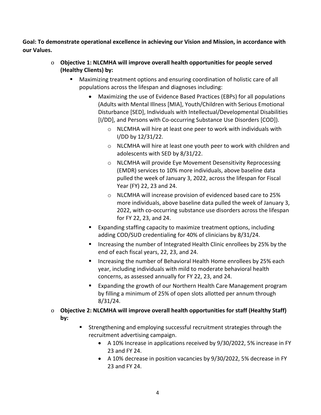**Goal: To demonstrate operational excellence in achieving our Vision and Mission, in accordance with our Values.**

- o **Objective 1: NLCMHA will improve overall health opportunities for people served (Healthy Clients) by:**
	- Maximizing treatment options and ensuring coordination of holistic care of all populations across the lifespan and diagnoses including:
		- Maximizing the use of Evidence Based Practices (EBPs) for all populations (Adults with Mental Illness [MIA], Youth/Children with Serious Emotional Disturbance [SED], Individuals with Intellectual/Developmental Disabilities [I/DD], and Persons with Co-occurring Substance Use Disorders [COD]).
			- o NLCMHA will hire at least one peer to work with individuals with I/DD by 12/31/22.
			- o NLCMHA will hire at least one youth peer to work with children and adolescents with SED by 8/31/22.
			- o NLCMHA will provide Eye Movement Desensitivity Reprocessing (EMDR) services to 10% more individuals, above baseline data pulled the week of January 3, 2022, across the lifespan for Fiscal Year (FY) 22, 23 and 24.
			- o NLCMHA will increase provision of evidenced based care to 25% more individuals, above baseline data pulled the week of January 3, 2022, with co-occurring substance use disorders across the lifespan for FY 22, 23, and 24.
		- Expanding staffing capacity to maximize treatment options, including adding COD/SUD credentialing for 40% of clinicians by 8/31/24.
		- Increasing the number of Integrated Health Clinic enrollees by 25% by the end of each fiscal years, 22, 23, and 24.
		- Increasing the number of Behavioral Health Home enrollees by 25% each year, including individuals with mild to moderate behavioral health concerns, as assessed annually for FY 22, 23, and 24.
		- Expanding the growth of our Northern Health Care Management program by filling a minimum of 25% of open slots allotted per annum through 8/31/24.
- o **Objective 2: NLCMHA will improve overall health opportunities for staff (Healthy Staff) by:**
	- Strengthening and employing successful recruitment strategies through the recruitment advertising campaign.
		- A 10% Increase in applications received by 9/30/2022, 5% increase in FY 23 and FY 24.
		- A 10% decrease in position vacancies by 9/30/2022, 5% decrease in FY 23 and FY 24.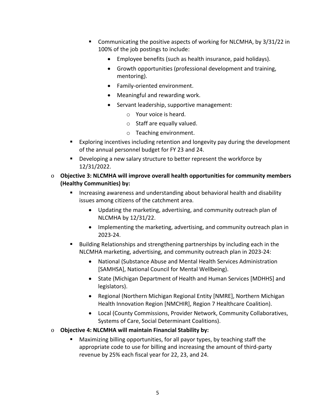- § Communicating the positive aspects of working for NLCMHA, by 3/31/22 in 100% of the job postings to include:
	- Employee benefits (such as health insurance, paid holidays).
	- Growth opportunities (professional development and training, mentoring).
	- Family-oriented environment.
	- Meaningful and rewarding work.
	- Servant leadership, supportive management:
		- o Your voice is heard.
		- o Staff are equally valued.
		- o Teaching environment.
- Exploring incentives including retention and longevity pay during the development of the annual personnel budget for FY 23 and 24.
- Developing a new salary structure to better represent the workforce by 12/31/2022.
- o **Objective 3: NLCMHA will improve overall health opportunities for community members (Healthy Communities) by:**
	- Increasing awareness and understanding about behavioral health and disability issues among citizens of the catchment area.
		- Updating the marketing, advertising, and community outreach plan of NLCMHA by 12/31/22.
		- Implementing the marketing, advertising, and community outreach plan in 2023-24.
	- Building Relationships and strengthening partnerships by including each in the NLCMHA marketing, advertising, and community outreach plan in 2023-24:
		- National (Substance Abuse and Mental Health Services Administration [SAMHSA], National Council for Mental Wellbeing).
		- State (Michigan Department of Health and Human Services [MDHHS] and legislators).
		- Regional (Northern Michigan Regional Entity [NMRE], Northern Michigan Health Innovation Region [NMCHIR], Region 7 Healthcare Coalition).
		- Local (County Commissions, Provider Network, Community Collaboratives, Systems of Care, Social Determinant Coalitions).

# o **Objective 4: NLCMHA will maintain Financial Stability by:**

Maximizing billing opportunities, for all payor types, by teaching staff the appropriate code to use for billing and increasing the amount of third-party revenue by 25% each fiscal year for 22, 23, and 24.